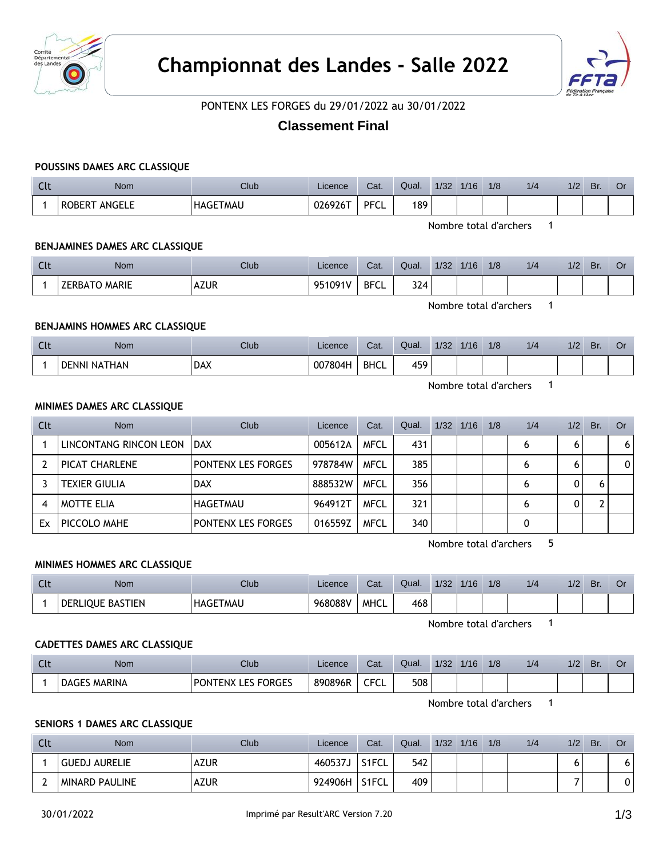



PONTENX LES FORGES du 29/01/2022 au 30/01/2022

# **Classement Final**

# **POUSSINS DAMES ARC CLASSIQUE**

| <b>Clt</b> | <b>Nom</b>             | Club            | Licence | Cat.        | Qual. | 1/32 | 1/16 | 1/8 | 1/4 | 1/2 | Br. | . Or |  |
|------------|------------------------|-----------------|---------|-------------|-------|------|------|-----|-----|-----|-----|------|--|
|            | ROBERT ANGELE          | <b>HAGETMAU</b> | 026926T | <b>PFCL</b> | 189   |      |      |     |     |     |     |      |  |
|            | Nombre total d'archers |                 |         |             |       |      |      |     |     |     |     |      |  |

**BENJAMINES DAMES ARC CLASSIQUE**

| $\sim$<br><b>CLL</b> | <b>Nom</b>           | <b>Club</b> | Licence | Cat.        | Qual. | 1/32 | 1/16 | 1/8 | 1/4 | 1/2 | Br. | Or |
|----------------------|----------------------|-------------|---------|-------------|-------|------|------|-----|-----|-----|-----|----|
|                      | <b>ZERBATO MARIE</b> | <b>AZUR</b> | 951091V | <b>BFCL</b> | 324   |      |      |     |     |     |     |    |

Nombre total d'archers 1

# **BENJAMINS HOMMES ARC CLASSIQUE**

| $\sim$ 1.<br>ີ | Nom                    | Club       | Licence | Cat.                  | Qual. | 1/32 | 1/16 | 1/8 | 1/4 | 1/2 | Br. | U. |
|----------------|------------------------|------------|---------|-----------------------|-------|------|------|-----|-----|-----|-----|----|
|                | NATHAN<br><b>DENNI</b> | <b>DAX</b> | 007804H | <b>BHCL</b><br>______ | 459   |      |      |     |     |     |     |    |

Nombre total d'archers 1

#### **MINIMES DAMES ARC CLASSIQUE**

| Clt | <b>Nom</b>             | Club                      | Licence | Cat.        | Qual. | 1/32 | 1/16 | 1/8 | 1/4 | 1/2 | Br. | Or. |
|-----|------------------------|---------------------------|---------|-------------|-------|------|------|-----|-----|-----|-----|-----|
|     | LINCONTANG RINCON LEON | <b>DAX</b>                | 005612A | <b>MFCL</b> | 431   |      |      |     | 6   |     |     | 6   |
|     | PICAT CHARLENE         | <b>PONTENX LES FORGES</b> | 978784W | <b>MFCL</b> | 385   |      |      |     | 6   |     |     | 0   |
|     | <b>TEXIER GIULIA</b>   | <b>DAX</b>                | 888532W | <b>MFCL</b> | 356   |      |      |     | 6   |     |     |     |
|     | <b>MOTTE ELIA</b>      | HAGETMAU                  | 964912T | <b>MFCL</b> | 321   |      |      |     | 6   |     |     |     |
| Ex  | PICCOLO MAHE           | <b>PONTENX LES FORGES</b> | 016559Z | <b>MFCL</b> | 340   |      |      |     |     |     |     |     |

Nombre total d'archers 5

### **MINIMES HOMMES ARC CLASSIQUE**

| $\sim$<br>- ULL | Nom              | Club            | Licence | Cat.        | Qual. | 1/32 | 1/16 | 1/8 | 1/2 | 1/2 | Br. | U. |
|-----------------|------------------|-----------------|---------|-------------|-------|------|------|-----|-----|-----|-----|----|
|                 | DERLIOUE BASTIEN | <b>HAGETMAU</b> | 968088V | <b>MHCL</b> | 468   |      |      |     |     |     |     |    |

Nombre total d'archers 1

#### **CADETTES DAMES ARC CLASSIQUE**

| $\sim$ 1.<br>๛ | Nom            | Club                                | Licence | Cat.           | Qual. | 1/32 | 1/16 | 1/8 | 1/4 | 1/2 | Br. | Û |
|----------------|----------------|-------------------------------------|---------|----------------|-------|------|------|-----|-----|-----|-----|---|
|                | MARINA<br>DAGE | <b>LES FORGES</b><br><b>PONTENX</b> | 890896R | CECI<br>∼<br>◡ | 508   |      |      |     |     |     |     |   |

Nombre total d'archers 1

# **SENIORS 1 DAMES ARC CLASSIQUE**

| Clt | <b>Nom</b>            | <b>Club</b> | Licence  | Cat.               | Qual. | 1/32 | 1/16 | 1/8 | 1/4 | 1/2 | Br. | Or |
|-----|-----------------------|-------------|----------|--------------------|-------|------|------|-----|-----|-----|-----|----|
|     | <b>GUEDJ AURELIE</b>  | <b>AZUR</b> | י 460537 | S1FCL              | 542   |      |      |     |     |     |     | 6. |
|     | <b>MINARD PAULINE</b> | <b>AZUR</b> | 924906H  | S <sub>1</sub> FCL | 409   |      |      |     |     |     |     | 0  |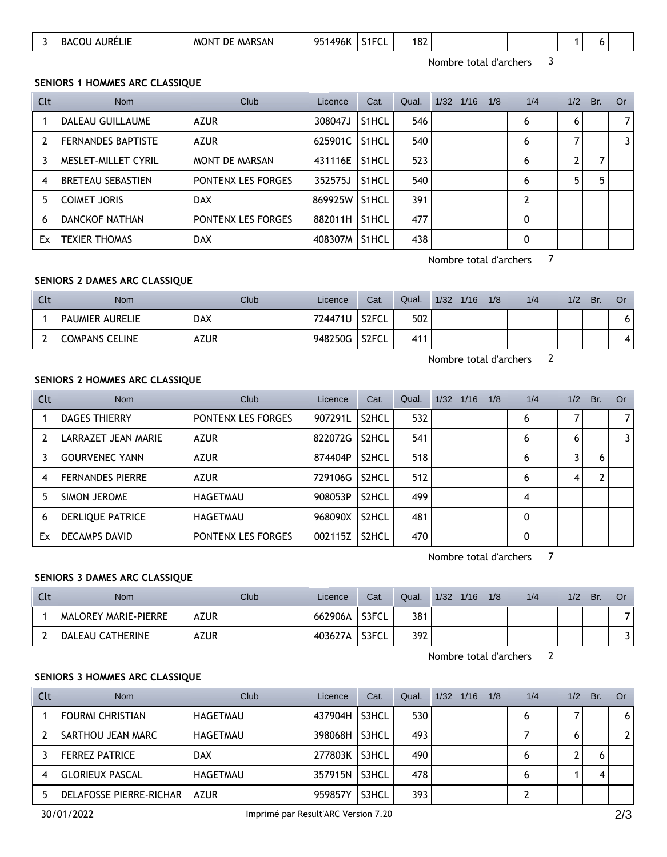| 182<br>S <sub>1</sub> FCI<br><b>MARSAN</b><br>1496K<br>051<br><b>AURELIE</b><br>COU<br>DE<br><b>MONT</b><br>BAC.<br>◡∟ |
|------------------------------------------------------------------------------------------------------------------------|
|------------------------------------------------------------------------------------------------------------------------|

Nombre total d'archers 3

### **SENIORS 1 HOMMES ARC CLASSIQUE**

| Clt            | <b>Nom</b>                | Club                      | Licence | Cat.               | Qual. | $1/32$ $1/16$ | 1/8 | 1/4 | 1/2 | Br. | Or             |
|----------------|---------------------------|---------------------------|---------|--------------------|-------|---------------|-----|-----|-----|-----|----------------|
|                | DALEAU GUILLAUME          | <b>AZUR</b>               | 308047J | S1HCL              | 546   |               |     | 6   | 6   |     | $\overline{7}$ |
| $\overline{2}$ | <b>FERNANDES BAPTISTE</b> | <b>AZUR</b>               | 625901C | S1HCL              | 540   |               |     | 6   |     |     | 3              |
|                | MESLET-MILLET CYRIL       | <b>MONT DE MARSAN</b>     | 431116E | S <sub>1</sub> HCL | 523   |               |     | 6   |     |     |                |
| 4              | <b>BRETEAU SEBASTIEN</b>  | <b>PONTENX LES FORGES</b> | 352575J | S <sub>1</sub> HCL | 540   |               |     | 6   | 5   |     |                |
| 5              | <b>COIMET JORIS</b>       | <b>DAX</b>                | 869925W | S <sub>1</sub> HCL | 391   |               |     | 2   |     |     |                |
| 6              | <b>DANCKOF NATHAN</b>     | <b>PONTENX LES FORGES</b> | 882011H | S <sub>1</sub> HCL | 477   |               |     | 0   |     |     |                |
| Ex             | <b>TEXIER THOMAS</b>      | <b>DAX</b>                | 408307M | S <sub>1</sub> HCL | 438   |               |     | 0   |     |     |                |

Nombre total d'archers 7

# **SENIORS 2 DAMES ARC CLASSIQUE**

| Clt | <b>Nom</b>             | <b>Club</b> | Licence | Cat.               | Qual. | 1/32 | 1/16 | 1/8 | 1/4 | 1/2 | Br. | Or  |
|-----|------------------------|-------------|---------|--------------------|-------|------|------|-----|-----|-----|-----|-----|
|     | <b>PAUMIER AURELIE</b> | <b>DAX</b>  | 724471U | S2FCL              | 502   |      |      |     |     |     |     | ו ס |
|     | <b>COMPANS CELINE</b>  | <b>AZUR</b> | 948250G | S <sub>2</sub> FCL | 411   |      |      |     |     |     |     | 41  |

Nombre total d'archers 2

### **SENIORS 2 HOMMES ARC CLASSIQUE**

| Clt | <b>Nom</b>              | Club                      | Licence | Cat.               | Qual. | $1/32$ $1/16$ | 1/8 | 1/4 | 1/2 | Br. | Or |
|-----|-------------------------|---------------------------|---------|--------------------|-------|---------------|-----|-----|-----|-----|----|
|     | <b>DAGES THIERRY</b>    | PONTENX LES FORGES        | 907291L | S2HCL              | 532   |               |     | 6   |     |     | 7  |
|     | LARRAZET JEAN MARIE     | <b>AZUR</b>               | 822072G | S2HCL              | 541   |               |     | 6   | 6   |     | 3  |
|     | <b>GOURVENEC YANN</b>   | <b>AZUR</b>               | 874404P | S2HCL              | 518   |               |     | 6   |     | h   |    |
| 4   | <b>FERNANDES PIERRE</b> | AZUR                      | 729106G | S2HCL              | 512   |               |     | 6   | 4   |     |    |
| 5   | SIMON JEROME            | HAGETMAU                  | 908053P | S <sub>2</sub> HCL | 499   |               |     | 4   |     |     |    |
| 6   | DERLIQUE PATRICE        | HAGETMAU                  | 968090X | S <sub>2</sub> HCL | 481   |               |     | 0   |     |     |    |
| Ex  | DECAMPS DAVID           | <b>PONTENX LES FORGES</b> | 002115Z | S <sub>2</sub> HCL | 470   |               |     | 0   |     |     |    |

Nombre total d'archers 7

# **SENIORS 3 DAMES ARC CLASSIQUE**

| Clt | <b>Nom</b>                  | Club        | Licence | Cat.  | Qual. | 1/32 | 1/16 | 1/8 | 1/4 | 1/2 | Br. | Or |
|-----|-----------------------------|-------------|---------|-------|-------|------|------|-----|-----|-----|-----|----|
|     | <b>MALOREY MARIE-PIERRE</b> | <b>AZUR</b> | 662906A | S3FCL | 381   |      |      |     |     |     |     |    |
|     | DALEAU CATHERINE            | <b>AZUR</b> | 403627A | S3FCL | 392   |      |      |     |     |     |     |    |

Nombre total d'archers 2

# **SENIORS 3 HOMMES ARC CLASSIQUE**

| Clt | <b>Nom</b>                     | Club        | Licence | Cat.  | Qual. | $1/32$ $1/16$ | 1/8 | 1/4 | 1/2 | Br. | Or . |
|-----|--------------------------------|-------------|---------|-------|-------|---------------|-----|-----|-----|-----|------|
|     | <b>FOURMI CHRISTIAN</b>        | HAGETMAU    | 437904H | S3HCL | 530   |               |     | 6   |     |     | 6    |
|     | <b>SARTHOU JEAN MARC</b>       | HAGETMAU    | 398068H | S3HCL | 493   |               |     |     |     |     | 2    |
|     | <b>FERREZ PATRICE</b>          | <b>DAX</b>  | 277803K | S3HCL | 490   |               |     | O   |     |     |      |
|     | <b>GLORIEUX PASCAL</b>         | HAGETMAU    | 357915N | S3HCL | 478   |               |     |     |     |     |      |
|     | <b>DELAFOSSE PIERRE-RICHAR</b> | <b>AZUR</b> | 959857Y | S3HCL | 393   |               |     |     |     |     |      |